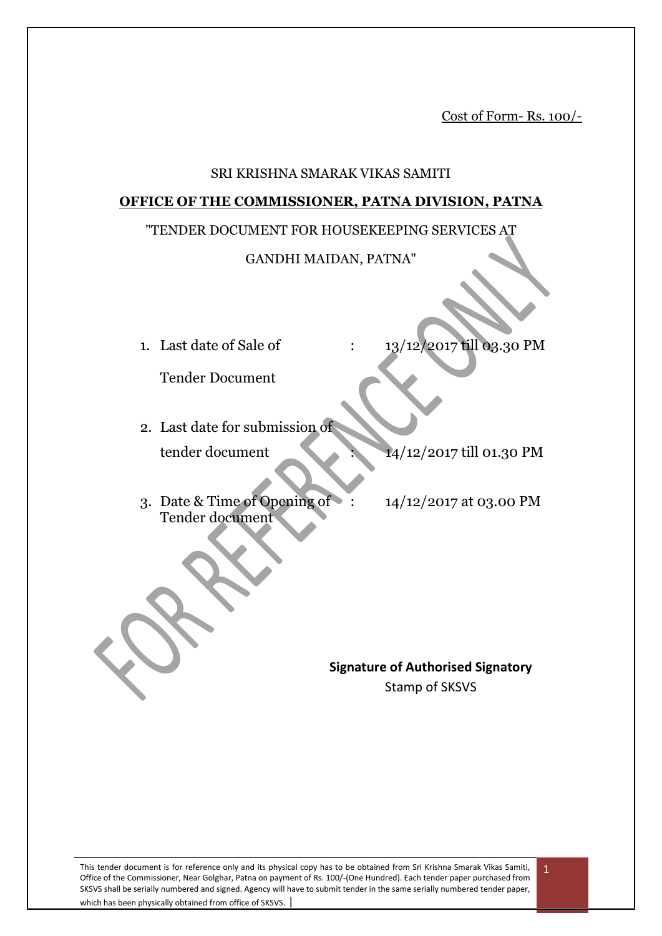Cost of Form- Rs. 100/-

#### SRI KRISHNA SMARAK VIKAS SAMITI

#### **OFFICE OF THE COMMISSIONER, PATNA DIVISION, PATNA**

#### "TENDER DOCUMENT FOR HOUSEKEEPING SERVICES AT

#### GANDHI MAIDAN, PATNA"

1. Last date of Sale of : 13/12/2017 till 03.30 PM

Tender Document

2. Last date for submission of tender document 14/12/2017 till 01.30 PM

- 3. Date & Time of Opening of : 14/12/2017 at 03.00 PM Tender document
	-

**Signature of Authorised Signatory** Stamp of SKSVS

This tender document is for reference only and its physical copy has to be obtained from Sri Krishna Smarak Vikas Samiti, Office of the Commissioner, Near Golghar, Patna on payment of Rs. 100/-(One Hundred). Each tender paper purchased from SKSVS shall be serially numbered and signed. Agency will have to submit tender in the same serially numbered tender paper, which has been physically obtained from office of SKSVS.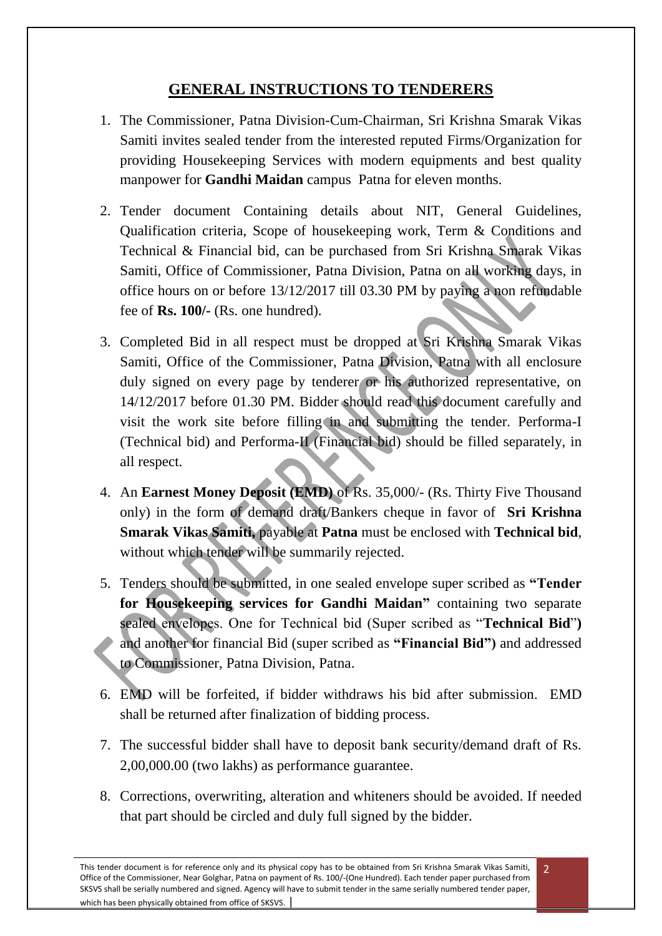## **GENERAL INSTRUCTIONS TO TENDERERS**

- 1. The Commissioner, Patna Division-Cum-Chairman, Sri Krishna Smarak Vikas Samiti invites sealed tender from the interested reputed Firms/Organization for providing Housekeeping Services with modern equipments and best quality manpower for **Gandhi Maidan** campus Patna for eleven months.
- 2. Tender document Containing details about NIT, General Guidelines, Qualification criteria, Scope of housekeeping work, Term & Conditions and Technical & Financial bid, can be purchased from Sri Krishna Smarak Vikas Samiti, Office of Commissioner, Patna Division, Patna on all working days, in office hours on or before 13/12/2017 till 03.30 PM by paying a non refundable fee of **Rs. 100/-** (Rs. one hundred).
- 3. Completed Bid in all respect must be dropped at Sri Krishna Smarak Vikas Samiti, Office of the Commissioner, Patna Division, Patna with all enclosure duly signed on every page by tenderer or his authorized representative, on 14/12/2017 before 01.30 PM. Bidder should read this document carefully and visit the work site before filling in and submitting the tender. Performa-I (Technical bid) and Performa-II (Financial bid) should be filled separately, in all respect.
- 4. An **Earnest Money Deposit (EMD)** of Rs. 35,000/- (Rs. Thirty Five Thousand only) in the form of demand draft/Bankers cheque in favor of **Sri Krishna Smarak Vikas Samiti,** payable at **Patna** must be enclosed with **Technical bid**, without which tender will be summarily rejected.
- 5. Tenders should be submitted, in one sealed envelope super scribed as **"Tender for Housekeeping services for Gandhi Maidan"** containing two separate sealed envelopes. One for Technical bid (Super scribed as "**Technical Bid**"**)**  and another for financial Bid (super scribed as **"Financial Bid")** and addressed to Commissioner, Patna Division, Patna.
- 6. EMD will be forfeited, if bidder withdraws his bid after submission. EMD shall be returned after finalization of bidding process.
- 7. The successful bidder shall have to deposit bank security/demand draft of Rs. 2,00,000.00 (two lakhs) as performance guarantee.
- 8. Corrections, overwriting, alteration and whiteners should be avoided. If needed that part should be circled and duly full signed by the bidder.

2

This tender document is for reference only and its physical copy has to be obtained from Sri Krishna Smarak Vikas Samiti, Office of the Commissioner, Near Golghar, Patna on payment of Rs. 100/-(One Hundred). Each tender paper purchased from SKSVS shall be serially numbered and signed. Agency will have to submit tender in the same serially numbered tender paper, which has been physically obtained from office of SKSVS.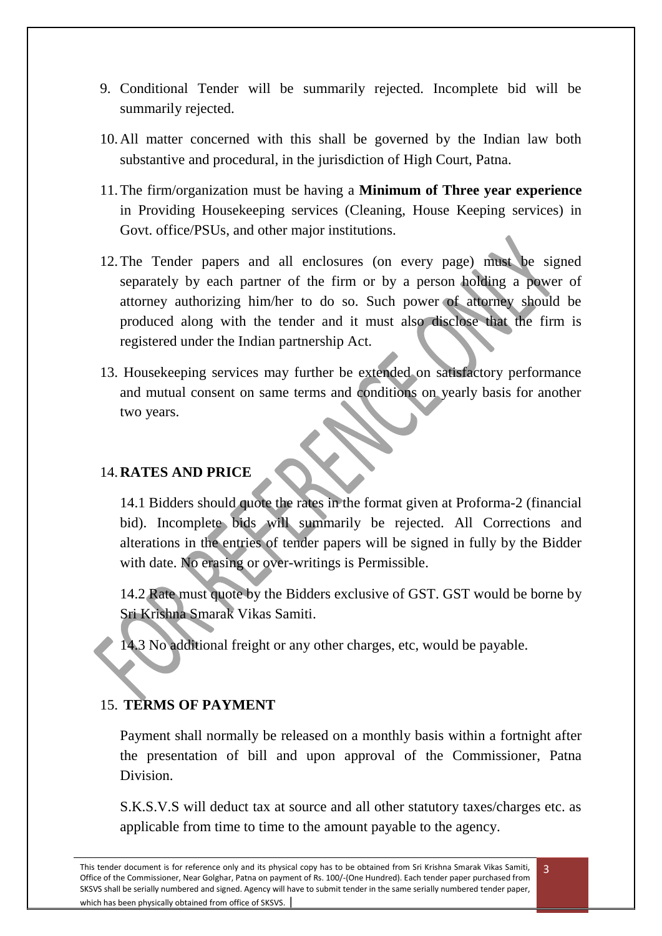- 9. Conditional Tender will be summarily rejected. Incomplete bid will be summarily rejected.
- 10.All matter concerned with this shall be governed by the Indian law both substantive and procedural, in the jurisdiction of High Court, Patna.
- 11.The firm/organization must be having a **Minimum of Three year experience** in Providing Housekeeping services (Cleaning, House Keeping services) in Govt. office/PSUs, and other major institutions.
- 12.The Tender papers and all enclosures (on every page) must be signed separately by each partner of the firm or by a person holding a power of attorney authorizing him/her to do so. Such power of attorney should be produced along with the tender and it must also disclose that the firm is registered under the Indian partnership Act.
- 13. Housekeeping services may further be extended on satisfactory performance and mutual consent on same terms and conditions on yearly basis for another two years.

#### 14.**RATES AND PRICE**

14.1 Bidders should quote the rates in the format given at Proforma-2 (financial bid). Incomplete bids will summarily be rejected. All Corrections and alterations in the entries of tender papers will be signed in fully by the Bidder with date. No erasing or over-writings is Permissible.

14.2 Rate must quote by the Bidders exclusive of GST. GST would be borne by Sri Krishna Smarak Vikas Samiti.

14.3 No additional freight or any other charges, etc, would be payable.

## 15. **TERMS OF PAYMENT**

Payment shall normally be released on a monthly basis within a fortnight after the presentation of bill and upon approval of the Commissioner, Patna **Division** 

S.K.S.V.S will deduct tax at source and all other statutory taxes/charges etc. as applicable from time to time to the amount payable to the agency.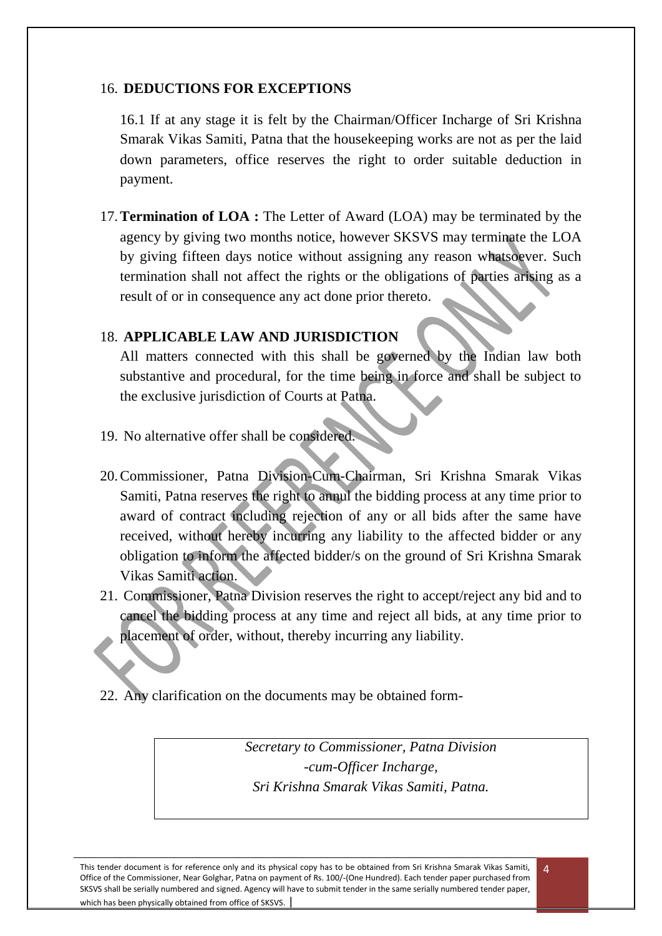#### 16. **DEDUCTIONS FOR EXCEPTIONS**

16.1 If at any stage it is felt by the Chairman/Officer Incharge of Sri Krishna Smarak Vikas Samiti, Patna that the housekeeping works are not as per the laid down parameters, office reserves the right to order suitable deduction in payment.

17.**Termination of LOA :** The Letter of Award (LOA) may be terminated by the agency by giving two months notice, however SKSVS may terminate the LOA by giving fifteen days notice without assigning any reason whatsoever. Such termination shall not affect the rights or the obligations of parties arising as a result of or in consequence any act done prior thereto.

## 18. **APPLICABLE LAW AND JURISDICTION**

All matters connected with this shall be governed by the Indian law both substantive and procedural, for the time being in force and shall be subject to the exclusive jurisdiction of Courts at Patna.

- 19. No alternative offer shall be considered.
- 20.Commissioner, Patna Division-Cum-Chairman, Sri Krishna Smarak Vikas Samiti, Patna reserves the right to annul the bidding process at any time prior to award of contract including rejection of any or all bids after the same have received, without hereby incurring any liability to the affected bidder or any obligation to inform the affected bidder/s on the ground of Sri Krishna Smarak Vikas Samiti action.
- 21. Commissioner, Patna Division reserves the right to accept/reject any bid and to cancel the bidding process at any time and reject all bids, at any time prior to placement of order, without, thereby incurring any liability.
- 22. Any clarification on the documents may be obtained form-

*Secretary to Commissioner, Patna Division -cum-Officer Incharge, Sri Krishna Smarak Vikas Samiti, Patna.*

 $\Delta$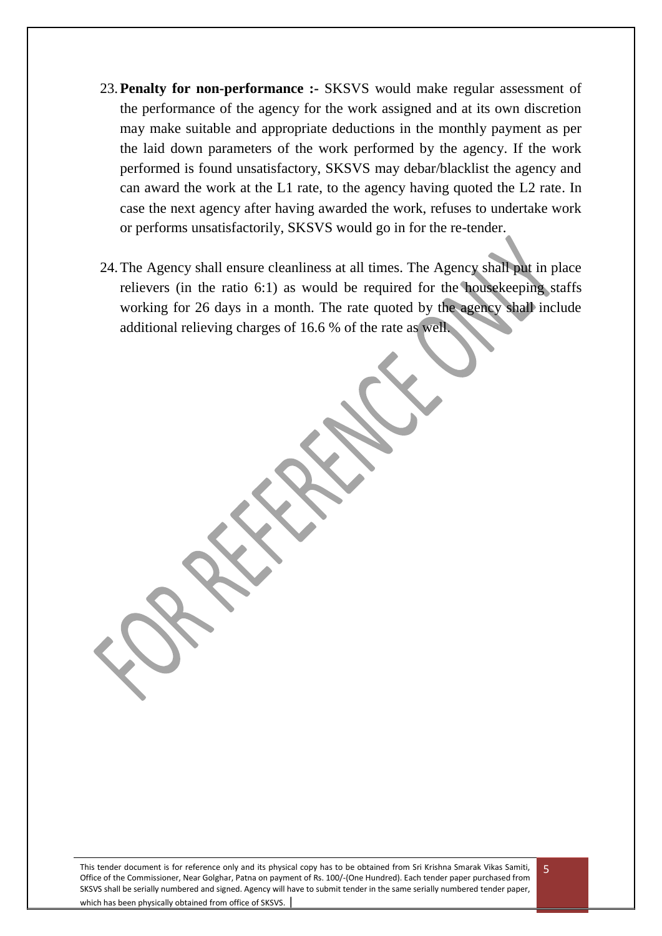- 23.**Penalty for non-performance :-** SKSVS would make regular assessment of the performance of the agency for the work assigned and at its own discretion may make suitable and appropriate deductions in the monthly payment as per the laid down parameters of the work performed by the agency. If the work performed is found unsatisfactory, SKSVS may debar/blacklist the agency and can award the work at the L1 rate, to the agency having quoted the L2 rate. In case the next agency after having awarded the work, refuses to undertake work or performs unsatisfactorily, SKSVS would go in for the re-tender.
- 24.The Agency shall ensure cleanliness at all times. The Agency shall put in place relievers (in the ratio 6:1) as would be required for the housekeeping staffs working for 26 days in a month. The rate quoted by the agency shall include additional relieving charges of 16.6 % of the rate as well.

This tender document is for reference only and its physical copy has to be obtained from Sri Krishna Smarak Vikas Samiti, Office of the Commissioner, Near Golghar, Patna on payment of Rs. 100/-(One Hundred). Each tender paper purchased from SKSVS shall be serially numbered and signed. Agency will have to submit tender in the same serially numbered tender paper, which has been physically obtained from office of SKSVS.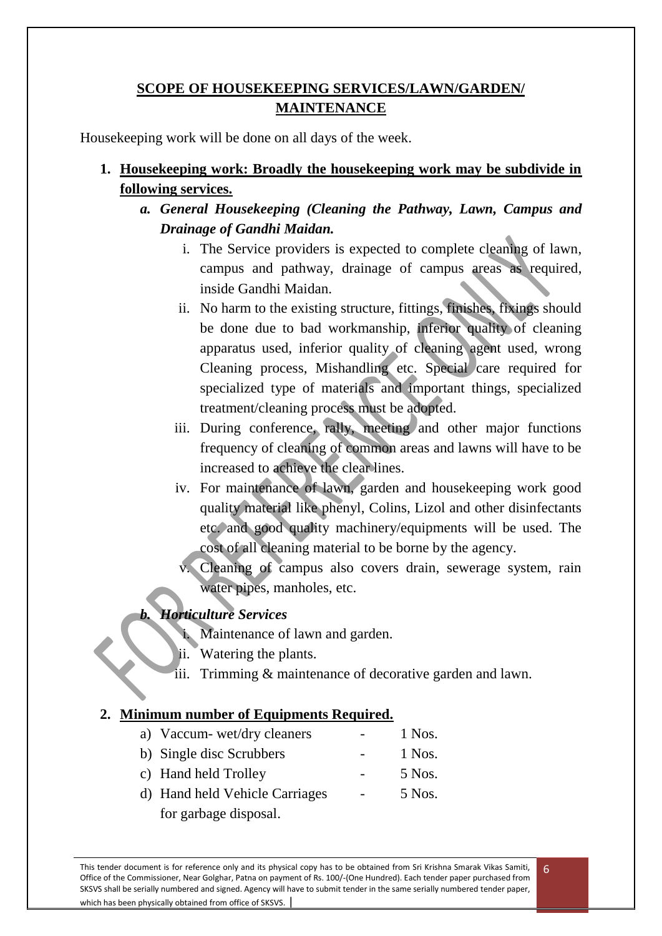## **SCOPE OF HOUSEKEEPING SERVICES/LAWN/GARDEN/ MAINTENANCE**

Housekeeping work will be done on all days of the week.

- **1. Housekeeping work: Broadly the housekeeping work may be subdivide in following services.**
	- *a. General Housekeeping (Cleaning the Pathway, Lawn, Campus and Drainage of Gandhi Maidan.*
		- i. The Service providers is expected to complete cleaning of lawn, campus and pathway, drainage of campus areas as required, inside Gandhi Maidan.
		- ii. No harm to the existing structure, fittings, finishes, fixings should be done due to bad workmanship, inferior quality of cleaning apparatus used, inferior quality of cleaning agent used, wrong Cleaning process, Mishandling etc. Special care required for specialized type of materials and important things, specialized treatment/cleaning process must be adopted.
		- iii. During conference, rally, meeting and other major functions frequency of cleaning of common areas and lawns will have to be increased to achieve the clear lines.
		- iv. For maintenance of lawn, garden and housekeeping work good quality material like phenyl, Colins, Lizol and other disinfectants etc. and good quality machinery/equipments will be used. The cost of all cleaning material to be borne by the agency.
			- Cleaning of campus also covers drain, sewerage system, rain water pipes, manholes, etc.

## *b. Horticulture Services*

- i. Maintenance of lawn and garden.
- ii. Watering the plants.
- iii. Trimming & maintenance of decorative garden and lawn.

### **2. Minimum number of Equipments Required.**

- a) Vaccum- wet/dry cleaners 1 Nos. b) Single disc Scrubbers - 1 Nos.
- c) Hand held Trolley 5 Nos.
- d) Hand held Vehicle Carriages 5 Nos. for garbage disposal.

This tender document is for reference only and its physical copy has to be obtained from Sri Krishna Smarak Vikas Samiti, Office of the Commissioner, Near Golghar, Patna on payment of Rs. 100/-(One Hundred). Each tender paper purchased from SKSVS shall be serially numbered and signed. Agency will have to submit tender in the same serially numbered tender paper, which has been physically obtained from office of SKSVS.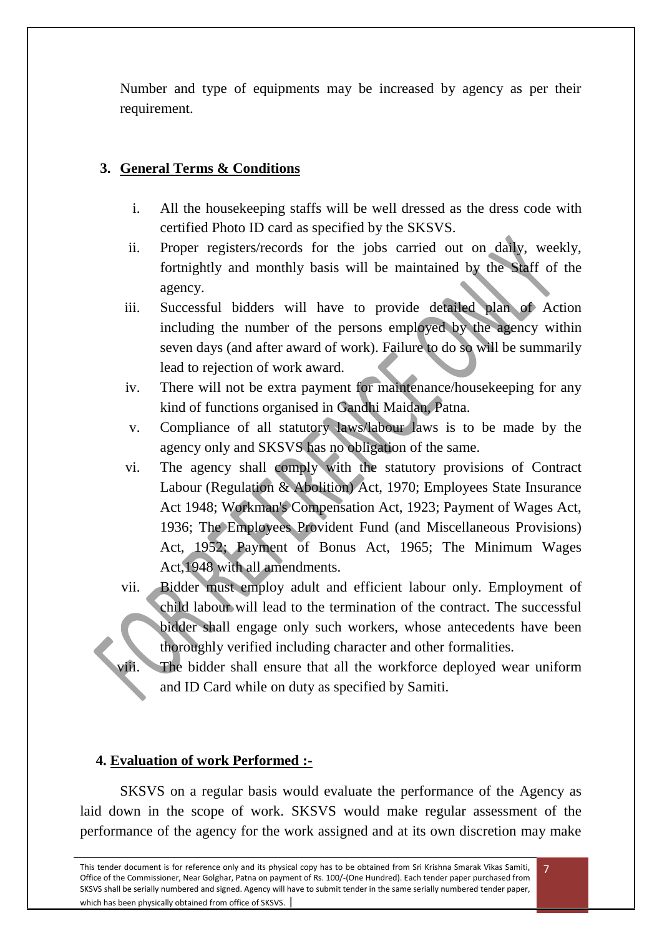Number and type of equipments may be increased by agency as per their requirement.

## **3. General Terms & Conditions**

- i. All the housekeeping staffs will be well dressed as the dress code with certified Photo ID card as specified by the SKSVS.
- ii. Proper registers/records for the jobs carried out on daily, weekly, fortnightly and monthly basis will be maintained by the Staff of the agency.
- iii. Successful bidders will have to provide detailed plan of Action including the number of the persons employed by the agency within seven days (and after award of work). Failure to do so will be summarily lead to rejection of work award.
- iv. There will not be extra payment for maintenance/housekeeping for any kind of functions organised in Gandhi Maidan, Patna.
- v. Compliance of all statutory laws/labour laws is to be made by the agency only and SKSVS has no obligation of the same.
- vi. The agency shall comply with the statutory provisions of Contract Labour (Regulation & Abolition) Act, 1970; Employees State Insurance Act 1948; Workman's Compensation Act, 1923; Payment of Wages Act, 1936; The Employees Provident Fund (and Miscellaneous Provisions) Act, 1952; Payment of Bonus Act, 1965; The Minimum Wages Act,1948 with all amendments.
- vii. Bidder must employ adult and efficient labour only. Employment of child labour will lead to the termination of the contract. The successful bidder shall engage only such workers, whose antecedents have been thoroughly verified including character and other formalities.
- viii. The bidder shall ensure that all the workforce deployed wear uniform and ID Card while on duty as specified by Samiti.

### **4. Evaluation of work Performed :-**

SKSVS on a regular basis would evaluate the performance of the Agency as laid down in the scope of work. SKSVS would make regular assessment of the performance of the agency for the work assigned and at its own discretion may make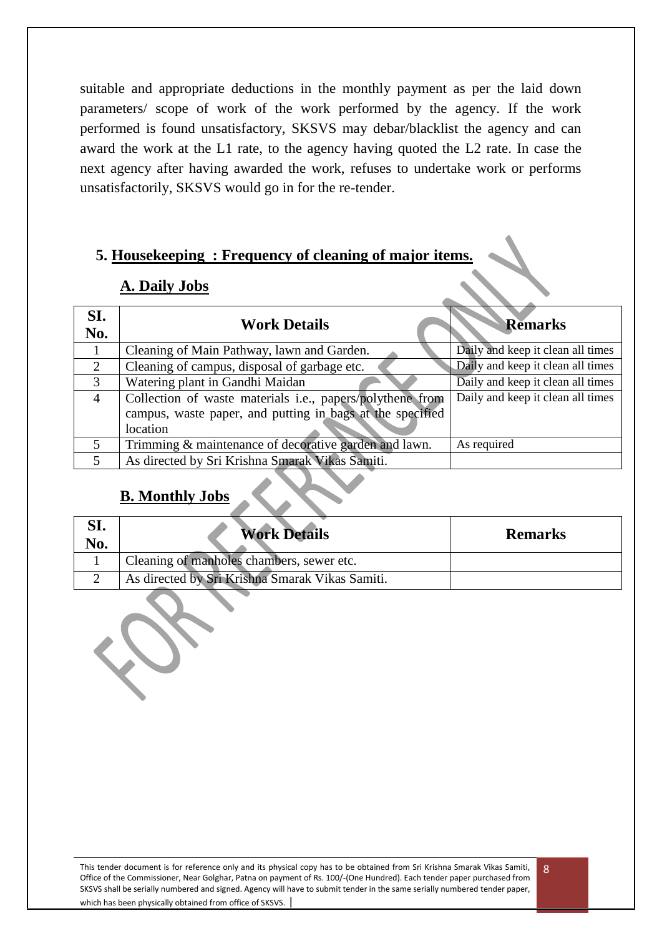suitable and appropriate deductions in the monthly payment as per the laid down parameters/ scope of work of the work performed by the agency. If the work performed is found unsatisfactory, SKSVS may debar/blacklist the agency and can award the work at the L1 rate, to the agency having quoted the L2 rate. In case the next agency after having awarded the work, refuses to undertake work or performs unsatisfactorily, SKSVS would go in for the re-tender.

## **5. Housekeeping : Frequency of cleaning of major items.**

### **A. Daily Jobs**

| SI.<br>No.               | <b>Work Details</b>                                       | <b>Remarks</b>                    |
|--------------------------|-----------------------------------------------------------|-----------------------------------|
|                          | Cleaning of Main Pathway, lawn and Garden.                | Daily and keep it clean all times |
| 2                        | Cleaning of campus, disposal of garbage etc.              | Daily and keep it clean all times |
| 3                        | Watering plant in Gandhi Maidan                           | Daily and keep it clean all times |
| $\overline{4}$           | Collection of waste materials i.e., papers/polythene from | Daily and keep it clean all times |
|                          | campus, waste paper, and putting in bags at the specified |                                   |
|                          | location                                                  |                                   |
| 5                        | Trimming & maintenance of decorative garden and lawn.     | As required                       |
| $\overline{\phantom{1}}$ | As directed by Sri Krishna Smarak Vikas Samiti.           |                                   |

# **B. Monthly Jobs**

| ol.<br>No. | <b>Work Details</b>                             | <b>Remarks</b> |
|------------|-------------------------------------------------|----------------|
|            | Cleaning of manholes chambers, sewer etc.       |                |
|            | As directed by Sri Krishna Smarak Vikas Samiti. |                |

This tender document is for reference only and its physical copy has to be obtained from Sri Krishna Smarak Vikas Samiti, Office of the Commissioner, Near Golghar, Patna on payment of Rs. 100/-(One Hundred). Each tender paper purchased from SKSVS shall be serially numbered and signed. Agency will have to submit tender in the same serially numbered tender paper, which has been physically obtained from office of SKSVS.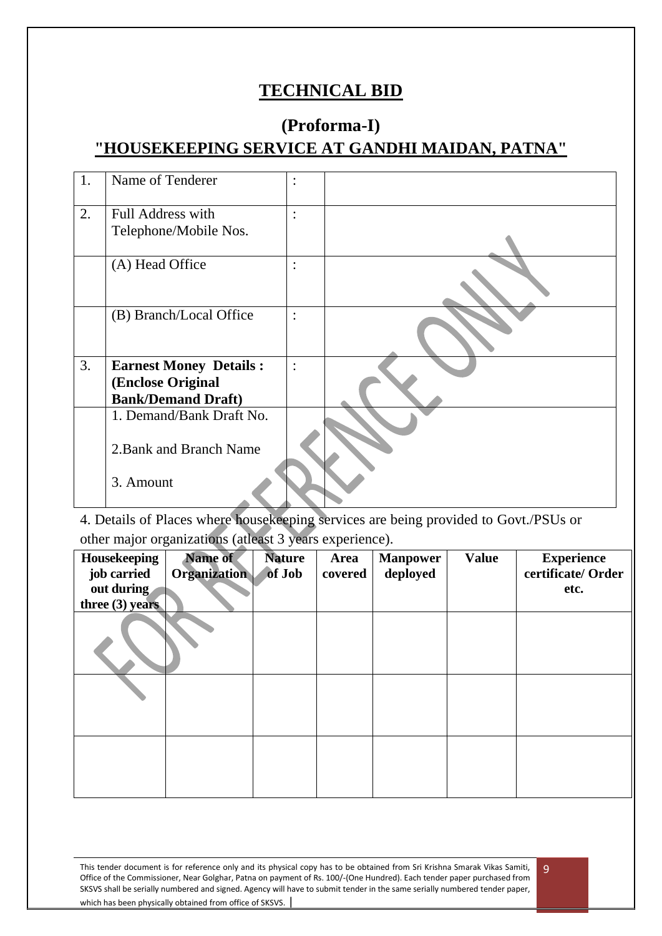# **TECHNICAL BID**

# **(Proforma-I) "HOUSEKEEPING SERVICE AT GANDHI MAIDAN, PATNA"**

| 1. | Name of Tenderer              | $\bullet$                         |  |
|----|-------------------------------|-----------------------------------|--|
| 2. | <b>Full Address with</b>      | $\bullet$                         |  |
|    | Telephone/Mobile Nos.         |                                   |  |
|    | (A) Head Office               | $\bullet$<br>$\ddot{\phantom{0}}$ |  |
|    | (B) Branch/Local Office       | $\ddot{\cdot}$                    |  |
| 3. | <b>Earnest Money Details:</b> | $\ddot{\cdot}$                    |  |
|    | (Enclose Original             |                                   |  |
|    | <b>Bank/Demand Draft)</b>     |                                   |  |
|    | 1. Demand/Bank Draft No.      |                                   |  |
|    | 2. Bank and Branch Name       |                                   |  |
|    | 3. Amount                     |                                   |  |

4. Details of Places where housekeeping services are being provided to Govt./PSUs or other major organizations (atleast 3 years experience).

| Housekeeping<br>job carried<br>out during<br>three $(3)$ years | Name of<br><b>Organization</b> | <b>Nature</b><br>of Job | Area<br>covered | <b>Manpower</b><br>deployed | <b>Value</b> | <b>Experience</b><br>certificate/Order<br>etc. |
|----------------------------------------------------------------|--------------------------------|-------------------------|-----------------|-----------------------------|--------------|------------------------------------------------|
|                                                                |                                |                         |                 |                             |              |                                                |
|                                                                |                                |                         |                 |                             |              |                                                |
|                                                                |                                |                         |                 |                             |              |                                                |

This tender document is for reference only and its physical copy has to be obtained from Sri Krishna Smarak Vikas Samiti, Office of the Commissioner, Near Golghar, Patna on payment of Rs. 100/-(One Hundred). Each tender paper purchased from SKSVS shall be serially numbered and signed. Agency will have to submit tender in the same serially numbered tender paper, which has been physically obtained from office of SKSVS.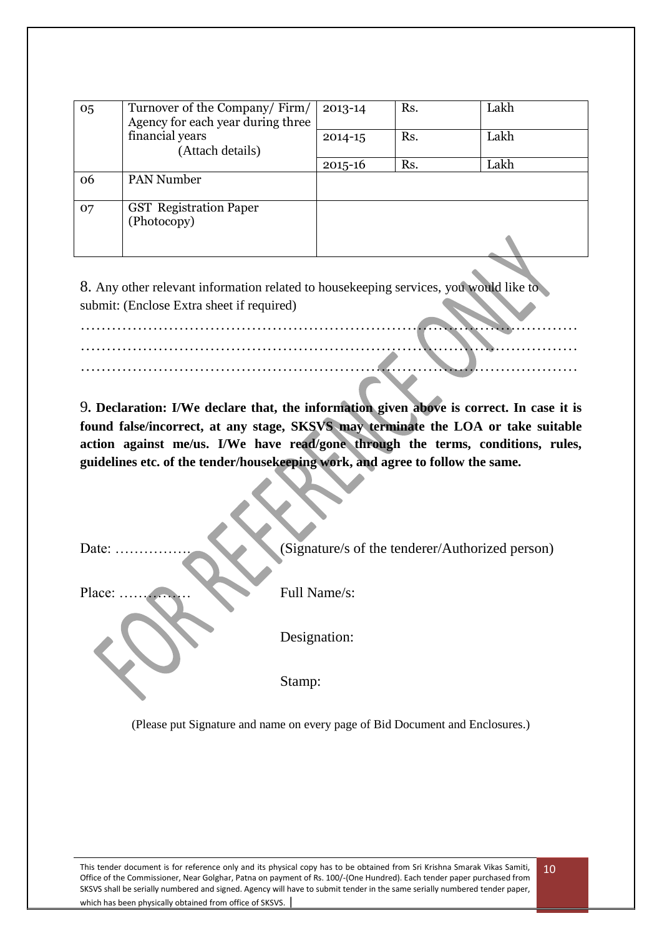| 05 | Turnover of the Company/Firm/<br>Agency for each year during three | 2013-14     | Rs. | Lakh |
|----|--------------------------------------------------------------------|-------------|-----|------|
|    | financial years<br>(Attach details)                                | $2014 - 15$ | Rs. | Lakh |
|    |                                                                    | $2015 - 16$ | Rs. | Lakh |
| 06 | <b>PAN Number</b>                                                  |             |     |      |
| 07 | <b>GST</b> Registration Paper<br>(Photocopy)                       |             |     |      |

8. Any other relevant information related to housekeeping services, you would like to submit: (Enclose Extra sheet if required)

……………………………………………………………………………………

…………………………………………………………………………………… ……………………………………………………………………………………

9**. Declaration: I/We declare that, the information given above is correct. In case it is found false/incorrect, at any stage, SKSVS may terminate the LOA or take suitable action against me/us. I/We have read/gone through the terms, conditions, rules, guidelines etc. of the tender/housekeeping work, and agree to follow the same.**

| Date:  | (Signature/s of the tenderer/Authorized person) |
|--------|-------------------------------------------------|
| Place: | Full Name/s:                                    |
|        | Designation:                                    |
|        | Stamp:                                          |

(Please put Signature and name on every page of Bid Document and Enclosures.)